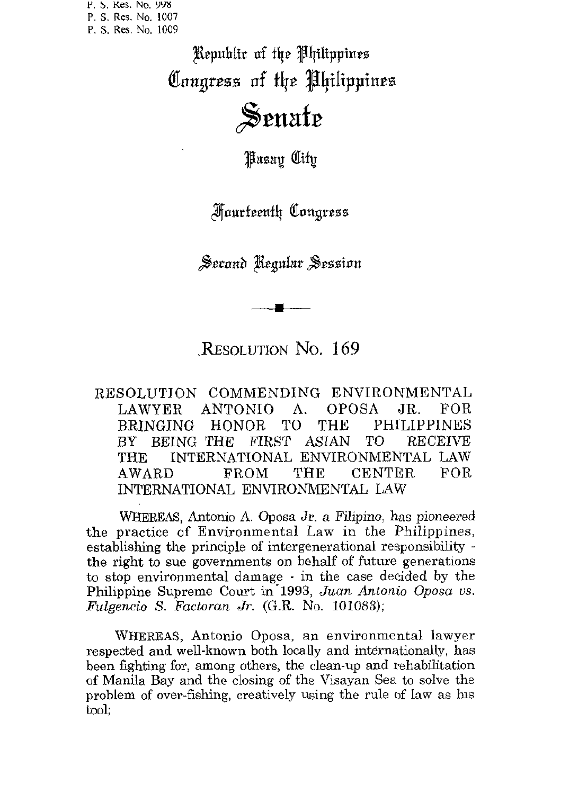**t' b. Kes.** NO. **YYa**  P. *S.* **Res. No.** 1007 P. **S.** Res. No. 1009

> yepublic nf flp \$Uplippines Congress of the Philippines Senate

> > **Pasay City**

**Fourteenth Congress** 

Second Regular Session

RESOLUTION No. 169

RESOLUTION COMMENDING ENVIRONMENTAL LAWYER ANTONIO A. OPOSA JR. FOR BRINGING HONOR TO THE PHILIPPINES BY BEING-THE FIRST ASIAN TO RECEIVE<br>THE INTERNATIONAL-ENVIRONMENTAL-LAW THE INTERNATIONAL ENVIRONMENTAL LAW **CENTER** INTERNATIONAL ENVIRONMENTAL LAW

WHEREAS, Antonio A. Oposa Jr. a Filipino, has pioneered the practice of Environmental Law in the Philippines, establishing the principle of intergenerational responsibility - the right to sue governments on behalf of future generations to stop environmental damage - in the case decided by the Philippine Supreme Court in'1993, *Juan Antonio Oposa us. Fulgencio* S. *Factoran Jr.* (G.R. No. 101083);

WHEREAS, Antonio Oposa, an environmental lawyer respected and well-known both locally and internationally, has been fighting for, among others, the clean-up and rehabilitation of Manila Bay and the closing of the Visayan Sea to solve the problem of over-fishing, creatively using the rule of law as his tool;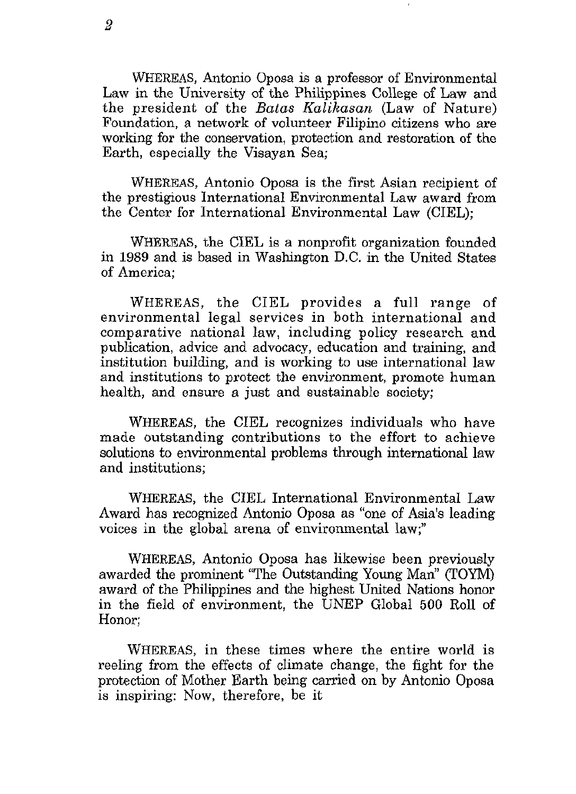WHEREAS, Antonio Oposa is a professor of Environmental Law in the University of the Philippines College of Law and the president of the *Batas Kalihasan* (Law of Nature) Foundation, a network of volunteer Filipino citizens who are working for the conservation, protection and restoration of the Earth, especially the Visayan Sea;

WHEREAS, Antonio Oposa is the first Asian recipient of the prestigious International Environmental Law award from the Center for International Environmental Law (CIEL);

WHEREAS, the CIEL is a nonprofit organization founded in **1989** and is based in Washington D.C. in the United States of America;

WHEREAS, the CIEL provides a full range of environmental legal services in both international and comparative national law, including policy research and publication, advice and advocacy, education and training, and institution building, and is working to use international law and institutions to protect the environment, promote human health, and ensure a just and sustainable society;

WHEREAS, the CIEL recognizes individuals who have made outstanding contributions to the effort to achieve solutions to environmental problems through international law and institutions;

WHEREAS, the CIEL International Environmental Law Award has recognized Antonio Oposa as "one of Asia's leading voices in the global arena of environmental law;"

WHEREAS, Antonio Oposa has likewise been previously awarded the prominent "The Outstanding Young Man" (TOYM) award of the Philippines and the highest United Nations honor in the field of environment, the UNEP Global 500 Roll of Honor;

WHEREAS, in these times where the entire world is reeling from the effects of climate change, the fight for the protection of Mother Earth being carried on by Antonio Oposa is inspiring: Now, therefore, be it